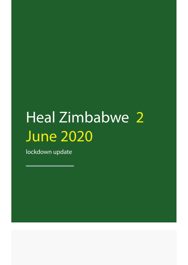# Heal Zimbabwe<sup>2</sup> June 2020

lockdown update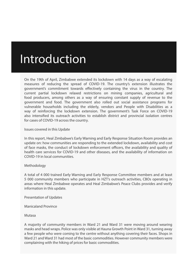# Introduction

On the 19th of April, Zimbabwe extended its lockdown with 14 days as a way of escalating measures of reducing the spread of COVID-19. The country's extension illustrates the government's commitment towards effectively containing the virus in the country. The current partial lockdown relaxed restrictions on mining companies, agricultural and food producers, among others as a way of ensuring constant supply of revenue to the government and food. The government also rolled out social assistance programs for vulnerable households including the elderly, vendors and People with Disabilities as a way of reinforcing the lockdown extension. The government's Task Force on COVID-19 also intensified its outreach activities to establish district and provincial isolation centres for cases of COVID-19 across the country.

#### Issues covered in this Update

In this report, Heal Zimbabwe's Early Warning and Early Response Situation Room provides an update on: how communities are responding to the extended lockdown, availability and cost of face masks, the conduct of lockdown enforcement officers, the availability and quality of health care services for COVID-19 and other diseases, and the availability of information on COVID-19 in local communities.

# Methodology

A total of 4 000 trained Early Warning and Early Response Committee members and at least 5 000 community members who participate in HZT's outreach activities, CBOs operating in areas where Heal Zimbabwe operates and Heal Zimbabwe's Peace Clubs provides and verify information in this update.

Presentation of Updates

Manicaland Province

Mutasa

A majority of community members in Ward 21 and Ward 31 were moving around wearing masks and head wraps. Police was only visible at Hauna Growth Point in Ward 31, turning away a few people who were coming to the centre without anything covering their faces. Shops in Ward 21 and Ward 31 had most of the basic commodities. However community members were complaining with the hiking of prices for basic commodities.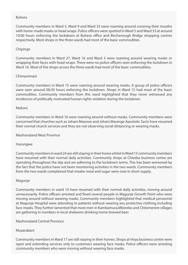#### Buhera

Community members in Ward 5, Ward 9 and Ward 33 were roaming around covering their mouths with home-made masks or head wraps. Police officers were spotted in Ward 5 and Ward 33 at around 10:00 hours enforcing the lockdown at Buhera office and Birchenough Bridge shopping centres respectively. Most shops in the three wards had most of the basic commodities.

# Chipinge

Community members in Ward 27, Ward 16 and Ward 3 were roaming around wearing masks or wrapping their faces with head wraps. There were no police officers seen enforcing the lockdown in Ward 16. Most of the shops across the three wards had most of the basic commodities.

# Chimanimani

Community members in Ward 15 were roaming around wearing masks. A group of police officers were seen around 08:30 hours enforcing the lockdown. Shops in Ward 15 had most of the basic commodities. Community members from this ward highlighted that they never witnessed any incidences of politically motivated human rights violation during the lockdown.

#### Makoni

Community members in Ward 16 were roaming around without masks. Community members were concerned that churches such as Johani Masowe and Johani Marange Apostolic Sects have resumed their normal church services and they are not observing social distancing or wearing masks.

Mashonaland West Province

#### Hurungwe

Community members in ward 24 are still staying in their home whilst in Ward 15 community members have resumed with their normal daily activities. Community shops at Chiedza business centre are operating throughout the day and are adhering to the lockdown terms. This has been worsened by the fact that the police have not been monitoring activities in the two wards. Community members from the two wards complained that mealie-meal and sugar were now in short supply.

#### Magunje

Community members in ward 10 have resumed with their normal daily activities, moving around unnecessarily. Police officers arrested and fined several people in Magunje Growth Point who were moving around without wearing masks. Community members highlighted that medical personnel at Magunje Hospital were attending to patients without wearing any protective clothing including face masks. They further lamented that most men in Kambamura,Mbereko and Chitemerere villages are gathering in numbers in local shebeens drinking home brewed beer.

#### Mashonaland Central Province

#### Muzarabani

Community members in Ward 17 are still staying in their homes. Shops at Hoya business centre were open and extending services only to customers wearing face masks. Police officers were arresting community members who were moving without wearing face masks.